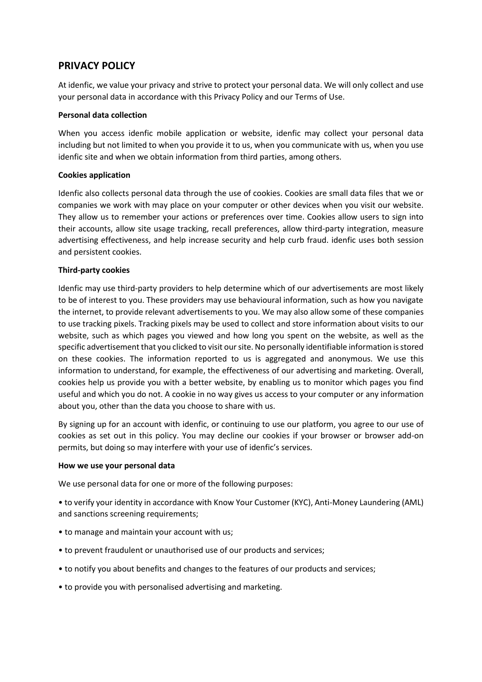# **PRIVACY POLICY**

At idenfic, we value your privacy and strive to protect your personal data. We will only collect and use your personal data in accordance with this Privacy Policy and our Terms of Use.

#### **Personal data collection**

When you access idenfic mobile application or website, idenfic may collect your personal data including but not limited to when you provide it to us, when you communicate with us, when you use idenfic site and when we obtain information from third parties, among others.

#### **Cookies application**

Idenfic also collects personal data through the use of cookies. Cookies are small data files that we or companies we work with may place on your computer or other devices when you visit our website. They allow us to remember your actions or preferences over time. Cookies allow users to sign into their accounts, allow site usage tracking, recall preferences, allow third-party integration, measure advertising effectiveness, and help increase security and help curb fraud. idenfic uses both session and persistent cookies.

#### **Third-party cookies**

Idenfic may use third-party providers to help determine which of our advertisements are most likely to be of interest to you. These providers may use behavioural information, such as how you navigate the internet, to provide relevant advertisements to you. We may also allow some of these companies to use tracking pixels. Tracking pixels may be used to collect and store information about visits to our website, such as which pages you viewed and how long you spent on the website, as well as the specific advertisement that you clicked to visit our site. No personally identifiable information is stored on these cookies. The information reported to us is aggregated and anonymous. We use this information to understand, for example, the effectiveness of our advertising and marketing. Overall, cookies help us provide you with a better website, by enabling us to monitor which pages you find useful and which you do not. A cookie in no way gives us access to your computer or any information about you, other than the data you choose to share with us.

By signing up for an account with idenfic, or continuing to use our platform, you agree to our use of cookies as set out in this policy. You may decline our cookies if your browser or browser add-on permits, but doing so may interfere with your use of idenfic's services.

#### **How we use your personal data**

We use personal data for one or more of the following purposes:

• to verify your identity in accordance with Know Your Customer (KYC), Anti-Money Laundering (AML) and sanctions screening requirements;

- to manage and maintain your account with us;
- to prevent fraudulent or unauthorised use of our products and services;
- to notify you about benefits and changes to the features of our products and services;
- to provide you with personalised advertising and marketing.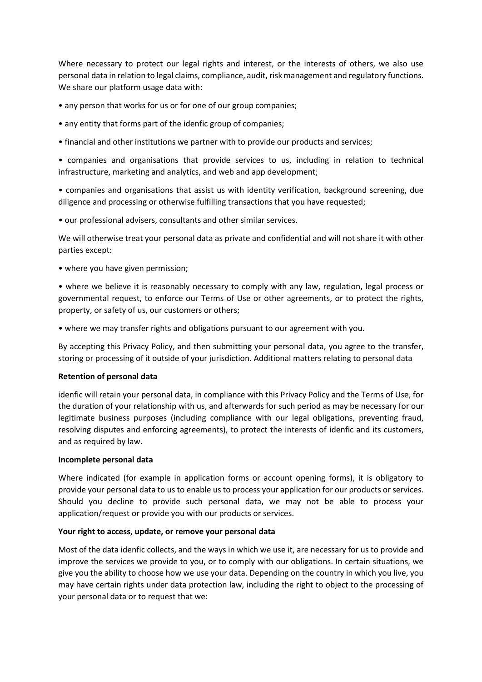Where necessary to protect our legal rights and interest, or the interests of others, we also use personal data in relation to legal claims, compliance, audit, risk management and regulatory functions. We share our platform usage data with:

- any person that works for us or for one of our group companies;
- any entity that forms part of the idenfic group of companies;
- financial and other institutions we partner with to provide our products and services;

• companies and organisations that provide services to us, including in relation to technical infrastructure, marketing and analytics, and web and app development;

• companies and organisations that assist us with identity verification, background screening, due diligence and processing or otherwise fulfilling transactions that you have requested;

• our professional advisers, consultants and other similar services.

We will otherwise treat your personal data as private and confidential and will not share it with other parties except:

• where you have given permission;

• where we believe it is reasonably necessary to comply with any law, regulation, legal process or governmental request, to enforce our Terms of Use or other agreements, or to protect the rights, property, or safety of us, our customers or others;

• where we may transfer rights and obligations pursuant to our agreement with you.

By accepting this Privacy Policy, and then submitting your personal data, you agree to the transfer, storing or processing of it outside of your jurisdiction. Additional matters relating to personal data

#### **Retention of personal data**

idenfic will retain your personal data, in compliance with this Privacy Policy and the Terms of Use, for the duration of your relationship with us, and afterwards for such period as may be necessary for our legitimate business purposes (including compliance with our legal obligations, preventing fraud, resolving disputes and enforcing agreements), to protect the interests of idenfic and its customers, and as required by law.

#### **Incomplete personal data**

Where indicated (for example in application forms or account opening forms), it is obligatory to provide your personal data to us to enable us to process your application for our products or services. Should you decline to provide such personal data, we may not be able to process your application/request or provide you with our products or services.

#### **Your right to access, update, or remove your personal data**

Most of the data idenfic collects, and the ways in which we use it, are necessary for us to provide and improve the services we provide to you, or to comply with our obligations. In certain situations, we give you the ability to choose how we use your data. Depending on the country in which you live, you may have certain rights under data protection law, including the right to object to the processing of your personal data or to request that we: